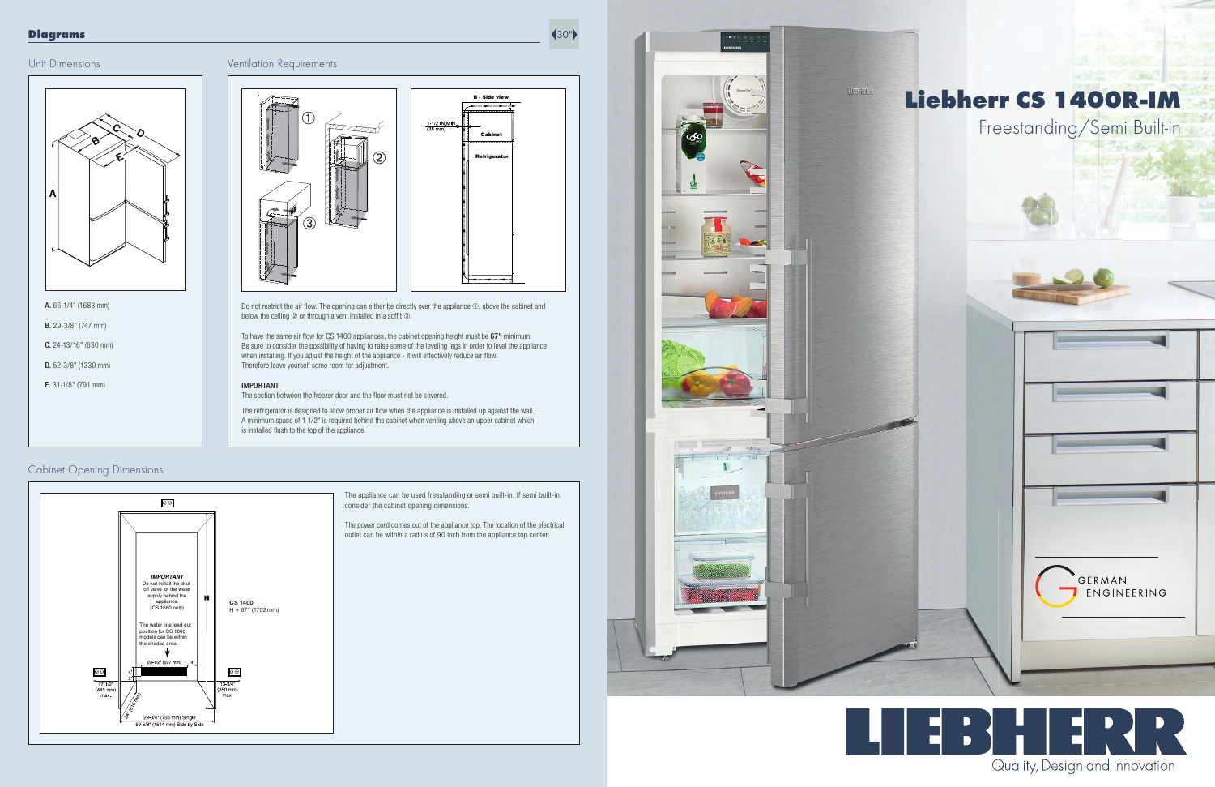#### Unit Dimensions

Cabinet Opening Dimensions





To have the same air flow for CS 1400 appliances, the cabinet opening height must be  $67"$  minimum. Be sure to consider the possibility of having to raise some of the leveling legs in order to level the appliance when installing. If you adjust the height of the appliance - it will effectively reduce air flow. Therefore leave yourself some room for adjustment.

#### IMPORTANT

The section between the freezer door and the floor must not be covered.

The refrigerator is designed to allow proper air flow when the appliance is installed up against the wall. A minimum space of 1 1/2" is required behind the cabinet when venting above an upper cabinet which is installed flush to the top of the appliance.

A. 66-1/4" (1683 mm)

B. 29-3/8" (747 mm)

C. 24-13/16" (630 mm) D. 52-3/8" (1330 mm)

E. 31-1/8" (791 mm)

The appliance can be used freestanding or semi built-in. If semi built-in, consider the cabinet opening dimensions.

The power cord comes out of the appliance top. The location of the electrical outlet can be within a radius of 90 inch from the appliance top center.





Do not restrict the air flow. The opening can either be directly over the appliance  $\odot$ , above the cabinet and below the ceiling 2 or through a vent installed in a soffit 3.

#### Diagrams





# Liebherr CS 1400R-IM Freestanding/Semi Built-in



GERMAN

ENGINEERING